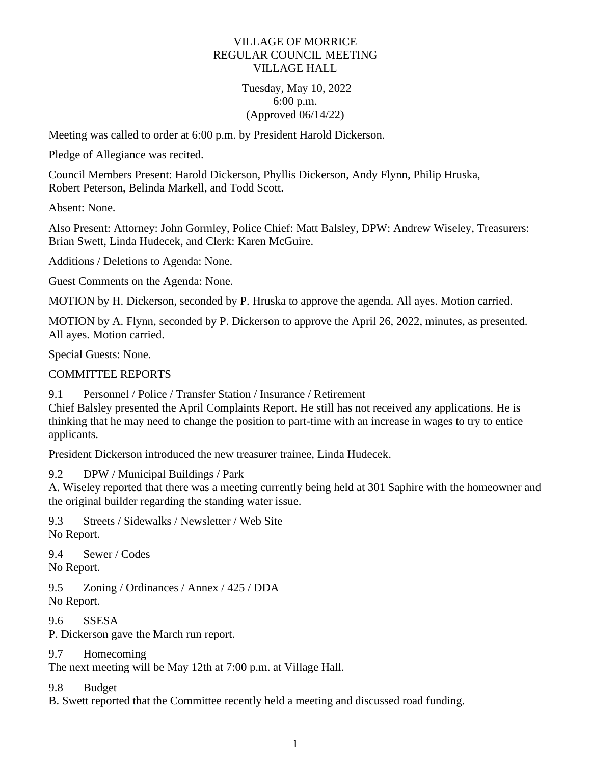### VILLAGE OF MORRICE REGULAR COUNCIL MEETING VILLAGE HALL

### Tuesday, May 10, 2022 6:00 p.m. (Approved 06/14/22)

Meeting was called to order at 6:00 p.m. by President Harold Dickerson.

Pledge of Allegiance was recited.

Council Members Present: Harold Dickerson, Phyllis Dickerson, Andy Flynn, Philip Hruska, Robert Peterson, Belinda Markell, and Todd Scott.

Absent: None.

Also Present: Attorney: John Gormley, Police Chief: Matt Balsley, DPW: Andrew Wiseley, Treasurers: Brian Swett, Linda Hudecek, and Clerk: Karen McGuire.

Additions / Deletions to Agenda: None.

Guest Comments on the Agenda: None.

MOTION by H. Dickerson, seconded by P. Hruska to approve the agenda. All ayes. Motion carried.

MOTION by A. Flynn, seconded by P. Dickerson to approve the April 26, 2022, minutes, as presented. All ayes. Motion carried.

Special Guests: None.

# COMMITTEE REPORTS

9.1 Personnel / Police / Transfer Station / Insurance / Retirement

Chief Balsley presented the April Complaints Report. He still has not received any applications. He is thinking that he may need to change the position to part-time with an increase in wages to try to entice applicants.

President Dickerson introduced the new treasurer trainee, Linda Hudecek.

9.2 DPW / Municipal Buildings / Park

A. Wiseley reported that there was a meeting currently being held at 301 Saphire with the homeowner and the original builder regarding the standing water issue.

9.3 Streets / Sidewalks / Newsletter / Web Site No Report.

9.4 Sewer / Codes No Report.

9.5 Zoning / Ordinances / Annex / 425 / DDA No Report.

9.6 SSESA P. Dickerson gave the March run report.

9.7 Homecoming

The next meeting will be May 12th at 7:00 p.m. at Village Hall.

9.8 Budget

B. Swett reported that the Committee recently held a meeting and discussed road funding.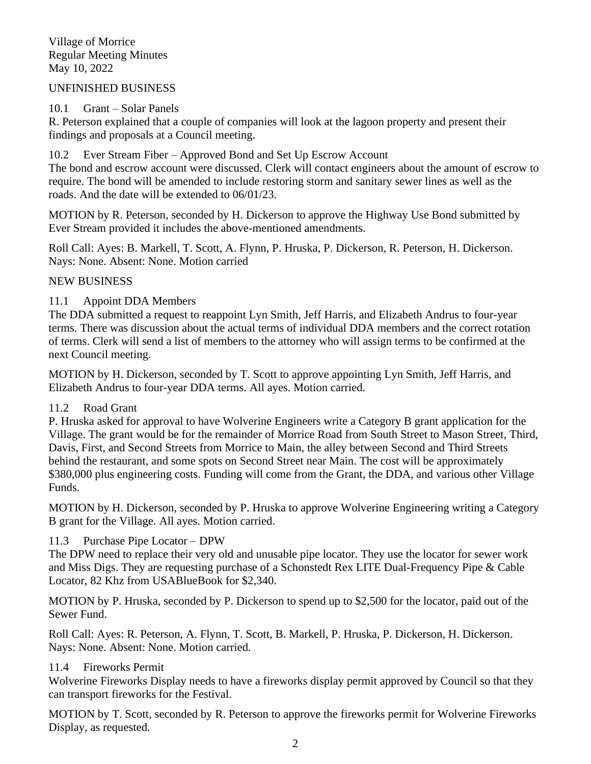Village of Morrice Regular Meeting Minutes May 10, 2022

#### UNFINISHED BUSINESS

### 10.1 Grant – Solar Panels

R. Peterson explained that a couple of companies will look at the lagoon property and present their findings and proposals at a Council meeting.

### 10.2 Ever Stream Fiber – Approved Bond and Set Up Escrow Account

The bond and escrow account were discussed. Clerk will contact engineers about the amount of escrow to require. The bond will be amended to include restoring storm and sanitary sewer lines as well as the roads. And the date will be extended to 06/01/23.

MOTION by R. Peterson, seconded by H. Dickerson to approve the Highway Use Bond submitted by Ever Stream provided it includes the above-mentioned amendments.

Roll Call: Ayes: B. Markell, T. Scott, A. Flynn, P. Hruska, P. Dickerson, R. Peterson, H. Dickerson. Nays: None. Absent: None. Motion carried

# NEW BUSINESS

### 11.1 Appoint DDA Members

The DDA submitted a request to reappoint Lyn Smith, Jeff Harris, and Elizabeth Andrus to four-year terms. There was discussion about the actual terms of individual DDA members and the correct rotation of terms. Clerk will send a list of members to the attorney who will assign terms to be confirmed at the next Council meeting.

MOTION by H. Dickerson, seconded by T. Scott to approve appointing Lyn Smith, Jeff Harris, and Elizabeth Andrus to four-year DDA terms. All ayes. Motion carried.

#### 11.2 Road Grant

P. Hruska asked for approval to have Wolverine Engineers write a Category B grant application for the Village. The grant would be for the remainder of Morrice Road from South Street to Mason Street, Third, Davis, First, and Second Streets from Morrice to Main, the alley between Second and Third Streets behind the restaurant, and some spots on Second Street near Main. The cost will be approximately \$380,000 plus engineering costs. Funding will come from the Grant, the DDA, and various other Village Funds.

MOTION by H. Dickerson, seconded by P. Hruska to approve Wolverine Engineering writing a Category B grant for the Village. All ayes. Motion carried.

# 11.3 Purchase Pipe Locator – DPW

The DPW need to replace their very old and unusable pipe locator. They use the locator for sewer work and Miss Digs. They are requesting purchase of a Schonstedt Rex LITE Dual-Frequency Pipe & Cable Locator, 82 Khz from USABlueBook for \$2,340.

MOTION by P. Hruska, seconded by P. Dickerson to spend up to \$2,500 for the locator, paid out of the Sewer Fund.

Roll Call: Ayes: R. Peterson, A. Flynn, T. Scott, B. Markell, P. Hruska, P. Dickerson, H. Dickerson. Nays: None. Absent: None. Motion carried.

# 11.4 Fireworks Permit

Wolverine Fireworks Display needs to have a fireworks display permit approved by Council so that they can transport fireworks for the Festival.

MOTION by T. Scott, seconded by R. Peterson to approve the fireworks permit for Wolverine Fireworks Display, as requested.